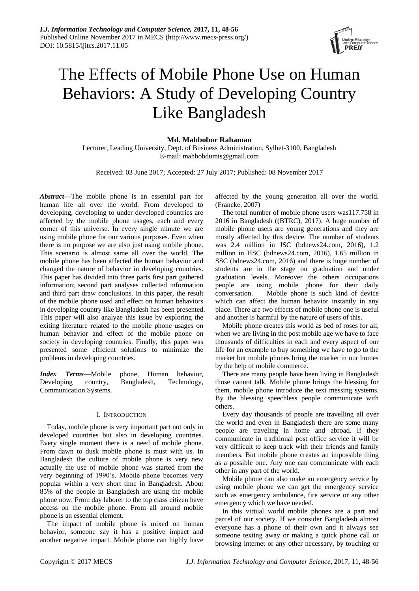

# The Effects of Mobile Phone Use on Human Behaviors: A Study of Developing Country Like Bangladesh

# **Md. Mahbobor Rahaman**

Lecturer, Leading University, Dept. of Business Administration, Sylhet-3100, Bangladesh E-mail: mahbobdumis@gmail.com

Received: 03 June 2017; Accepted: 27 July 2017; Published: 08 November 2017

*Abstract—*The mobile phone is an essential part for human life all over the world. From developed to developing, developing to under developed countries are affected by the mobile phone usages, each and every corner of this universe. In every single minute we are using mobile phone for our various purposes. Even when there is no purpose we are also just using mobile phone. This scenario is almost same all over the world. The mobile phone has been affected the human behavior and changed the nature of behavior in developing countries. This paper has divided into three parts first part gathered information; second part analyses collected information and third part draw conclusions. In this paper, the result of the mobile phone used and effect on human behaviors in developing country like Bangladesh has been presented. This paper will also analyze this issue by exploring the exiting literature related to the mobile phone usages on human behavior and effect of the mobile phone on society in developing countries. Finally, this paper was presented some efficient solutions to minimize the problems in developing countries.

*Index Terms*—Mobile phone, Human behavior, Developing country, Bangladesh, Technology, Communication Systems.

#### I. INTRODUCTION

Today, mobile phone is very important part not only in developed countries but also in developing countries. Every single moment there is a need of mobile phone. From dawn to dusk mobile phone is must with us. In Bangladesh the culture of mobile phone is very new actually the use of mobile phone was started from the very beginning of 1990's. Mobile phone becomes very popular within a very short time in Bangladesh. About 85% of the people in Bangladesh are using the mobile phone now. From day laborer to the top class citizen have access on the mobile phone. From all around mobile phone is an essential element.

The impact of mobile phone is mixed on human behavior, someone say it has a positive impact and another negative impact. Mobile phone can highly have

affected by the young generation all over the world. (Francke, 2007)

The total number of mobile phone users was117.758 in 2016 in Bangladesh ((BTRC), 2017). A huge number of mobile phone users are young generations and they are mostly affected by this device. The number of students was 2.4 million in JSC (bdnews24.com, 2016), 1.2 million in HSC (bdnews24.com, 2016), 1.65 million in SSC (bdnews24.com, 2016) and there is huge number of students are in the stage on graduation and under graduation levels. Moreover the others occupations people are using mobile phone for their daily conversation. Mobile phone is such kind of device which can affect the human behavior instantly in any place. There are two effects of mobile phone one is useful and another is harmful by the nature of users of this.

Mobile phone creates this world as bed of roses for all, when we are living in the post mobile age we have to face thousands of difficulties in each and every aspect of our life for an example to buy something we have to go to the market but mobile phones bring the market in our homes by the help of mobile commerce.

There are many people have been living in Bangladesh those cannot talk. Mobile phone brings the blessing for them, mobile phone introduce the text messing systems. By the blessing speechless people communicate with others.

Every day thousands of people are travelling all over the world and even in Bangladesh there are some many people are traveling in home and abroad. If they communicate in traditional post office service it will be very difficult to keep track with their friends and family members. But mobile phone creates an impossible thing as a possible one. Any one can communicate with each other in any part of the world.

Mobile phone can also make an emergency service by using mobile phone we can get the emergency service such as emergency ambulance, fire service or any other emergency which we have needed.

In this virtual world mobile phones are a part and parcel of our society. If we consider Bangladesh almost everyone has a phone of their own and it always see someone texting away or making a quick phone call or browsing internet or any other necessary, by touching or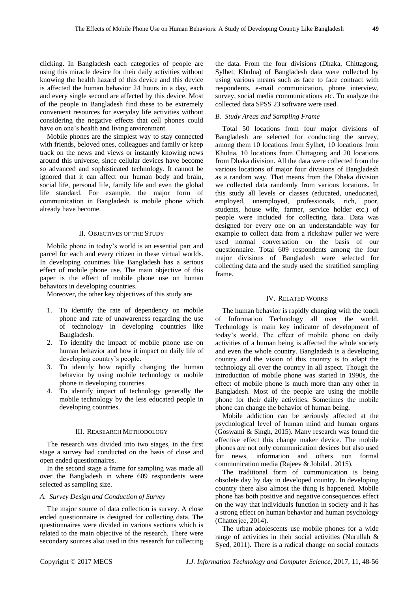clicking. In Bangladesh each categories of people are using this miracle device for their daily activities without knowing the health hazard of this device and this device is affected the human behavior 24 hours in a day, each and every single second are affected by this device. Most of the people in Bangladesh find these to be extremely convenient resources for everyday life activities without considering the negative effects that cell phones could have on one's health and living environment.

Mobile phones are the simplest way to stay connected with friends, beloved ones, colleagues and family or keep track on the news and views or instantly knowing news around this universe, since cellular devices have become so advanced and sophisticated technology. It cannot be ignored that it can affect our human body and brain, social life, personal life, family life and even the global life standard. For example, the major form of communication in Bangladesh is mobile phone which already have become.

### II. OBJECTIVES OF THE STUDY

Mobile phone in today's world is an essential part and parcel for each and every citizen in these virtual worlds. In developing countries like Bangladesh has a serious effect of mobile phone use. The main objective of this paper is the effect of mobile phone use on human behaviors in developing countries.

Moreover, the other key objectives of this study are

- 1. To identify the rate of dependency on mobile phone and rate of unawareness regarding the use of technology in developing countries like Bangladesh.
- 2. To identify the impact of mobile phone use on human behavior and how it impact on daily life of developing country's people.
- 3. To identify how rapidly changing the human behavior by using mobile technology or mobile phone in developing countries.
- 4. To identify impact of technology generally the mobile technology by the less educated people in developing countries.

## III. REASEARCH METHODOLOGY

The research was divided into two stages, in the first stage a survey had conducted on the basis of close and open ended questionnaires.

In the second stage a frame for sampling was made all over the Bangladesh in where 609 respondents were selected as sampling size.

## *A. Survey Design and Conduction of Survey*

The major source of data collection is survey. A close ended questionnaire is designed for collecting data. The questionnaires were divided in various sections which is related to the main objective of the research. There were secondary sources also used in this research for collecting

the data. From the four divisions (Dhaka, Chittagong, Sylhet, Khulna) of Bangladesh data were collected by using various means such as face to face contract with respondents, e-mail communication, phone interview, survey, social media communications etc. To analyze the collected data SPSS 23 software were used.

# *B. Study Areas and Sampling Frame*

Total 50 locations from four major divisions of Bangladesh are selected for conducting the survey, among them 10 locations from Sylhet, 10 locations from Khulna, 10 locations from Chittagong and 20 locations from Dhaka division. All the data were collected from the various locations of major four divisions of Bangladesh as a random way. That means from the Dhaka division we collected data randomly from various locations. In this study all levels or classes (educated, uneducated, employed, unemployed, professionals, rich, poor, students, house wife, farmer, service holder etc.) of people were included for collecting data. Data was designed for every one on an understandable way for example to collect data from a rickshaw puller we were used normal conversation on the basis of our questionnaire. Total 609 respondents among the four major divisions of Bangladesh were selected for collecting data and the study used the stratified sampling frame.

#### IV. RELATED WORKS

The human behavior is rapidly changing with the touch of Information Technology all over the world. Technology is main key indicator of development of today's world. The effect of mobile phone on daily activities of a human being is affected the whole society and even the whole country. Bangladesh is a developing country and the vision of this country is to adapt the technology all over the country in all aspect. Though the introduction of mobile phone was started in 1990s, the effect of mobile phone is much more than any other in Bangladesh. Most of the people are using the mobile phone for their daily activities. Sometimes the mobile phone can change the behavior of human being.

Mobile addiction can be seriously affected at the psychological level of human mind and human organs (Goswami & Singh, 2015). Many research was found the effective effect this change maker device. The mobile phones are not only communication devices but also used for news, information and others non formal communication media (Rajeev & Jobilal , 2015).

The traditional form of communication is being obsolete day by day in developed country. In developing country there also almost the thing is happened. Mobile phone has both positive and negative consequences effect on the way that individuals function in society and it has a strong effect on human behavior and human psychology (Chatterjee, 2014).

The urban adolescents use mobile phones for a wide range of activities in their social activities (Nurullah & Syed, 2011). There is a radical change on social contacts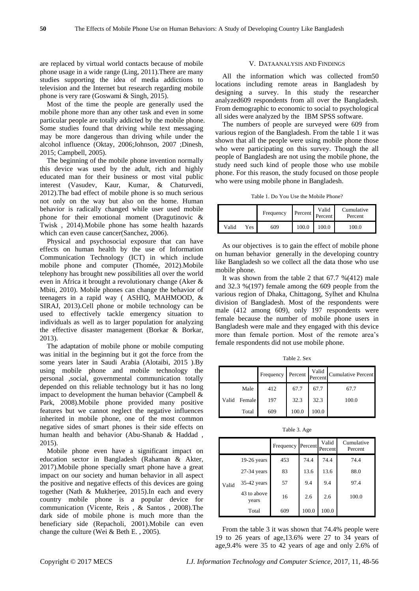are replaced by virtual world contacts because of mobile phone usage in a wide range (Ling, 2011).There are many studies supporting the idea of media addictions to television and the Internet but research regarding mobile phone is very rare (Goswami & Singh, 2015).

Most of the time the people are generally used the mobile phone more than any other task and even in some particular people are totally addicted by the mobile phone. Some studies found that driving while text messaging may be more dangerous than driving while under the alcohol influence (Oktay, 2006;Johnson, 2007 ;Dinesh, 2015; Campbell, 2005).

The beginning of the mobile phone invention normally this device was used by the adult, rich and highly educated man for their business or most vital public interest (Vasudev, Kaur, Kumar, & Chaturvedi, 2012).The bad effect of mobile phone is so much serious not only on the way but also on the home. Human behavior is radically changed while user used mobile phone for their emotional moment (Dragutinovic & Twisk , 2014).Mobile phone has some health hazards which can even cause cancer(Sanchez, 2006).

Physical and psychosocial exposure that can have effects on human health by the use of Information Communication Technology (ICT) in which include mobile phone and computer (Thomée, 2012).Mobile telephony has brought new possibilities all over the world even in Africa it brought a revolutionary change (Aker & Mbiti, 2010). Mobile phones can change the behavior of teenagers in a rapid way ( ASHIQ, MAHMOOD, & SIRAJ, 2013).Cell phone or mobile technology can be used to effectively tackle emergency situation to individuals as well as to larger population for analyzing the effective disaster management (Borkar & Borkar, 2013).

The adaptation of mobile phone or mobile computing was initial in the beginning but it got the force from the some years later in Saudi Arabia (Alotaibi, 2015 ).By using mobile phone and mobile technology the personal ,social, governmental communication totally depended on this reliable technology but it has no long impact to development the human behavior (Campbell & Park, 2008).Mobile phone provided many positive features but we cannot neglect the negative influences inherited in mobile phone, one of the most common negative sides of smart phones is their side effects on human health and behavior (Abu-Shanab & Haddad , 2015).

Mobile phone even have a significant impact on education sector in Bangladesh (Rahaman & Akter, 2017).Mobile phone specially smart phone have a great impact on our society and human behavior in all aspect the positive and negative effects of this devices are going together (Nath & Mukherjee, 2015).In each and every country mobile phone is a popular device for communication (Vicente, Reis , & Santos , 2008).The dark side of mobile phone is much more than the beneficiary side (Repacholi, 2001).Mobile can even change the culture (Wei & Beth E. , 2005).

#### V. DATAANALYSIS AND FINDINGS

All the information which was collected from50 locations including remote areas in Bangladesh by designing a survey. In this study the researcher analyzed609 respondents from all over the Bangladesh. From demographic to economic to social to psychological all sides were analyzed by the IBM SPSS software.

The numbers of people are surveyed were 609 from various region of the Bangladesh. From the table 1 it was shown that all the people were using mobile phone those who were participating on this survey. Though the all people of Bangladesh are not using the mobile phone, the study need such kind of people those who use mobile phone. For this reason, the study focused on those people who were using mobile phone in Bangladesh.

Table 1. Do You Use the Mobile Phone?

|       |       | Frequency | Percent | Valid<br>Percent | Cumulative<br>Percent |
|-------|-------|-----------|---------|------------------|-----------------------|
| Valid | Yes L | 609       | 100.0   | 100.0            | 100.0                 |

As our objectives is to gain the effect of mobile phone on human behavior generally in the developing country like Bangladesh so we collect all the data those who use mobile phone.

It was shown from the table 2 that 67.7 %(412) male and 32.3 %(197) female among the 609 people from the various region of Dhaka, Chittagong, Sylhet and Khulna division of Bangladesh. Most of the respondents were male (412 among 609), only 197 respondents were female because the number of mobile phone users in Bangladesh were male and they engaged with this device more than female portion. Most of the remote area's female respondents did not use mobile phone.

Table 2. Sex

|       |        | Frequency | Percent | Valid<br>Percent | <b>Cumulative Percent</b> |
|-------|--------|-----------|---------|------------------|---------------------------|
|       | Male   | 412       | 67.7    | 67.7             | 67.7                      |
| Valid | Female | 197       | 32.3    | 32.3             | 100.0                     |
|       | Total  | 609       | 100.0   | 100.0            |                           |

Table 3. Age

|       |                      | Frequency | Percent | Valid<br>Percent | Cumulative<br>Percent |
|-------|----------------------|-----------|---------|------------------|-----------------------|
|       | $19-26$ years        | 453       | 74.4    | 74.4             | 74.4                  |
|       | $27-34$ years        | 83        | 13.6    | 13.6             | 88.0                  |
| Valid | $35-42$ years        | 57        | 9.4     | 9.4              | 97.4                  |
|       | 43 to above<br>years | 16        | 2.6     | 2.6              | 100.0                 |
|       | Total                | 609       | 100.0   | 100.0            |                       |

From the table 3 it was shown that 74.4% people were 19 to 26 years of age,13.6% were 27 to 34 years of age,9.4% were 35 to 42 years of age and only 2.6% of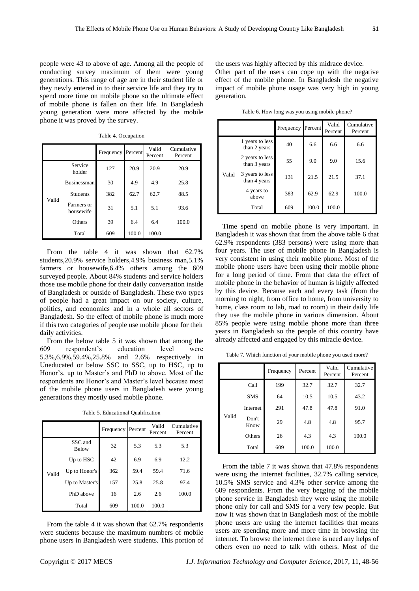people were 43 to above of age. Among all the people of conducting survey maximum of them were young generations. This range of age are in their student life or they newly entered in to their service life and they try to spend more time on mobile phone so the ultimate effect of mobile phone is fallen on their life. In Bangladesh young generation were more affected by the mobile phone it was proved by the survey.

|       |                         | Frequency | Percent | Valid<br>Percent | Cumulative<br>Percent |
|-------|-------------------------|-----------|---------|------------------|-----------------------|
|       | Service<br>holder       | 127       | 20.9    | 20.9             | 20.9                  |
|       | <b>Businessman</b>      | 30        | 4.9     | 4.9              | 25.8                  |
| Valid | <b>Students</b>         | 382       | 62.7    | 62.7             | 88.5                  |
|       | Farmers or<br>housewife | 31        | 5.1     | 5.1              | 93.6                  |
|       | Others                  | 39        | 6.4     | 6.4              | 100.0                 |
|       | Total                   | 609       | 100.0   | 100.0            |                       |

Table 4. Occupation

From the table 4 it was shown that 62.7% students,20.9% service holders,4.9% business man,5.1% farmers or housewife,6.4% others among the 609 surveyed people. About 84% students and service holders those use mobile phone for their daily conversation inside of Bangladesh or outside of Bangladesh. These two types of people had a great impact on our society, culture, politics, and economics and in a whole all sectors of Bangladesh. So the effect of mobile phone is much more if this two categories of people use mobile phone for their daily activities.

From the below table 5 it was shown that among the 609 respondent's education level were 5.3%,6.9%,59.4%,25.8% and 2.6% respectively in Uneducated or below SSC to SSC, up to HSC, up to Honor's, up to Master's and PhD to above. Most of the respondents are Honor's and Master's level because most of the mobile phone users in Bangladesh were young generations they mostly used mobile phone.

Table 5. Educational Qualification

|       |                         | Frequency | Percent | Valid<br>Percent | Cumulative<br>Percent |
|-------|-------------------------|-----------|---------|------------------|-----------------------|
|       | SSC and<br><b>Below</b> | 32        | 5.3     | 5.3              | 5.3                   |
|       | Up to HSC               | 42        | 6.9     | 6.9              | 12.2                  |
| Valid | Up to Honor's           | 362       | 59.4    | 59.4             | 71.6                  |
|       | Up to Master's          | 157       | 25.8    | 25.8             | 97.4                  |
|       | PhD above               | 16        | 2.6     | 2.6              | 100.0                 |
|       | Total                   | 609       | 100.0   | 100.0            |                       |

From the table 4 it was shown that 62.7% respondents were students because the maximum numbers of mobile phone users in Bangladesh were students. This portion of the users was highly affected by this midrace device. Other part of the users can cope up with the negative effect of the mobile phone. In Bangladesh the negative impact of mobile phone usage was very high in young generation.

Table 6. How long was you using mobile phone?

|       |                                 | Frequency | Percent | Valid<br>Percent | Cumulative<br>Percent |
|-------|---------------------------------|-----------|---------|------------------|-----------------------|
|       | 1 years to less<br>than 2 years | 40        | 6.6     | 6.6              | 6.6                   |
|       | 2 years to less<br>than 3 years | 55        | 9.0     | 9.0              | 15.6                  |
| Valid | 3 years to less<br>than 4 years | 131       | 21.5    | 21.5             | 37.1                  |
|       | 4 years to<br>above             | 383       | 62.9    | 62.9             | 100.0                 |
|       | Total                           | 609       | 100.0   | 100.0            |                       |

Time spend on mobile phone is very important. In Bangladesh it was shown that from the above table 6 that 62.9% respondents (383 persons) were using more than four years. The user of mobile phone in Bangladesh is very consistent in using their mobile phone. Most of the mobile phone users have been using their mobile phone for a long period of time. From that data the effect of mobile phone in the behavior of human is highly affected by this device. Because each and every task (from the morning to night, from office to home, from university to home, class room to lab, road to room) in their daily life they use the mobile phone in various dimension. About 85% people were using mobile phone more than three years in Bangladesh so the people of this country have already affected and engaged by this miracle device.

Table 7. Which function of your mobile phone you used more?

|       |               | Frequency | Percent | Valid<br>Percent | Cumulative<br>Percent |
|-------|---------------|-----------|---------|------------------|-----------------------|
|       | Call          | 199       | 32.7    | 32.7             | 32.7                  |
|       | <b>SMS</b>    | 64        | 10.5    | 10.5             | 43.2                  |
|       | Internet      | 291       | 47.8    | 47.8             | 91.0                  |
| Valid | Don't<br>Know | 29        | 4.8     | 4.8              | 95.7                  |
|       | Others        | 26        | 4.3     | 4.3              | 100.0                 |
|       | Total         | 609       | 100.0   | 100.0            |                       |

From the table 7 it was shown that 47.8% respondents were using the internet facilities, 32.7% calling service, 10.5% SMS service and 4.3% other service among the 609 respondents. From the very begging of the mobile phone service in Bangladesh they were using the mobile phone only for call and SMS for a very few people. But now it was shown that in Bangladesh most of the mobile phone users are using the internet facilities that means users are spending more and more time in browsing the internet. To browse the internet there is need any helps of others even no need to talk with others. Most of the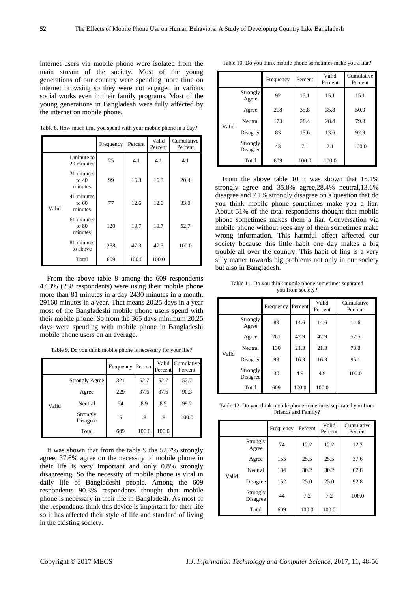internet users via mobile phone were isolated from the main stream of the society. Most of the young generations of our country were spending more time on internet browsing so they were not engaged in various social works even in their family programs. Most of the young generations in Bangladesh were fully affected by the internet on mobile phone.

Table 8. How much time you spend with your mobile phone in a day?

|       |                                  | Frequency | Percent | Valid<br>Percent | Cumulative<br>Percent |
|-------|----------------------------------|-----------|---------|------------------|-----------------------|
|       | 1 minute to<br>20 minutes        | 25        | 4.1     | 4.1              | 4.1                   |
|       | 21 minutes<br>to $40$<br>minutes | 99        | 16.3    | 16.3             | 20.4                  |
| Valid | 41 minutes<br>to $60$<br>minutes | 77        | 12.6    | 12.6             | 33.0                  |
|       | 61 minutes<br>to $80$<br>minutes | 120       | 19.7    | 19.7             | 52.7                  |
|       | 81 minutes<br>to above           | 288       | 47.3    | 47.3             | 100.0                 |
|       | Total                            | 609       | 100.0   | 100.0            |                       |

From the above table 8 among the 609 respondents 47.3% (288 respondents) were using their mobile phone more than 81 minutes in a day 2430 minutes in a month, 29160 minutes in a year. That means 20.25 days in a year most of the Bangladeshi mobile phone users spend with their mobile phone. So from the 365 days minimum 20.25 days were spending with mobile phone in Bangladeshi mobile phone users on an average.

Table 9. Do you think mobile phone is necessary for your life?

|       |                       | Frequency | Percent | Valid<br>Percent | Cumulative<br>Percent |
|-------|-----------------------|-----------|---------|------------------|-----------------------|
|       | <b>Strongly Agree</b> | 321       | 52.7    | 52.7             | 52.7                  |
|       | Agree                 | 229       | 37.6    | 37.6             | 90.3                  |
| Valid | Neutral               | 54        | 8.9     | 8.9              | 99.2                  |
|       | Strongly<br>Disagree  | 5         | .8      | .8               | 100.0                 |
|       | Total                 | 609       | 100.0   | 100.0            |                       |

It was shown that from the table 9 the 52.7% strongly agree, 37.6% agree on the necessity of mobile phone in their life is very important and only 0.8% strongly disagreeing. So the necessity of mobile phone is vital in daily life of Bangladeshi people. Among the 609 respondents 90.3% respondents thought that mobile phone is necessary in their life in Bangladesh. As most of the respondents think this device is important for their life so it has affected their style of life and standard of living in the existing society.

Table 10. Do you think mobile phone sometimes make you a liar?

|       |                      | Frequency | Percent | Valid<br>Percent | Cumulative<br>Percent |
|-------|----------------------|-----------|---------|------------------|-----------------------|
|       | Strongly<br>Agree    | 92        | 15.1    | 15.1             | 15.1                  |
|       | Agree                | 218       | 35.8    | 35.8             | 50.9                  |
| Valid | Neutral              | 173       | 28.4    | 28.4             | 79.3                  |
|       | Disagree             | 83        | 13.6    | 13.6             | 92.9                  |
|       | Strongly<br>Disagree | 43        | 7.1     | 7.1              | 100.0                 |
|       | Total                | 609       | 100.0   | 100.0            |                       |

From the above table 10 it was shown that 15.1% strongly agree and 35.8% agree,28.4% neutral,13.6% disagree and 7.1% strongly disagree on a question that do you think mobile phone sometimes make you a liar. About 51% of the total respondents thought that mobile phone sometimes makes them a liar. Conversation via mobile phone without sees any of them sometimes make wrong information. This harmful effect affected our society because this little habit one day makes a big trouble all over the country. This habit of ling is a very silly matter towards big problems not only in our society but also in Bangladesh.

Table 11. Do you think mobile phone sometimes separated you from society?

|       |                      | Frequency | Percent | Valid<br>Percent | Cumulative<br>Percent |
|-------|----------------------|-----------|---------|------------------|-----------------------|
|       | Strongly<br>Agree    | 89        | 14.6    | 14.6             | 14.6                  |
|       | Agree                | 261       | 42.9    | 42.9             | 57.5                  |
| Valid | Neutral              | 130       | 21.3    | 21.3             | 78.8                  |
|       | Disagree             | 99        | 16.3    | 16.3             | 95.1                  |
|       | Strongly<br>Disagree | 30        | 4.9     | 4.9              | 100.0                 |
|       | Total                | 609       | 100.0   | 100.0            |                       |

Table 12. Do you think mobile phone sometimes separated you from Friends and Family?

|       |                      | Frequency | Percent | Valid<br>Percent | Cumulative<br>Percent |
|-------|----------------------|-----------|---------|------------------|-----------------------|
|       | Strongly<br>Agree    | 74        | 12.2    | 12.2             | 12.2                  |
|       | Agree                | 155       | 25.5    | 25.5             | 37.6                  |
| Valid | Neutral              | 184       | 30.2    | 30.2             | 67.8                  |
|       | Disagree             | 152       | 25.0    | 25.0             | 92.8                  |
|       | Strongly<br>Disagree | 44        | 7.2     | 7.2              | 100.0                 |
|       | Total                | 609       | 100.0   | 100.0            |                       |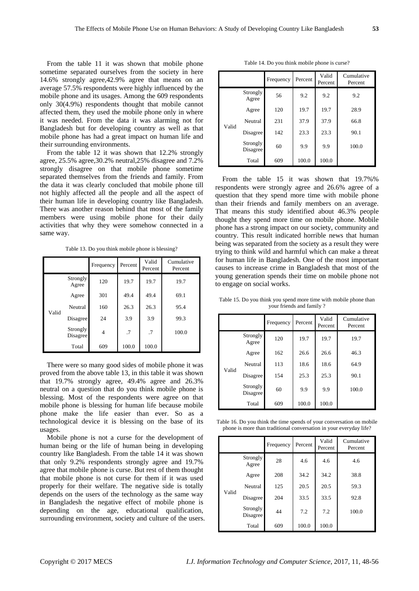From the table 11 it was shown that mobile phone sometime separated ourselves from the society in here 14.6% strongly agree,42.9% agree that means on an average 57.5% respondents were highly influenced by the mobile phone and its usages. Among the 609 respondents only 30(4.9%) respondents thought that mobile cannot affected them, they used the mobile phone only in where it was needed. From the data it was alarming not for Bangladesh but for developing country as well as that mobile phone has had a great impact on human life and their surrounding environments.

From the table 12 it was shown that 12.2% strongly agree, 25.5% agree,30.2% neutral,25% disagree and 7.2% strongly disagree on that mobile phone sometime separated themselves from the friends and family. From the data it was clearly concluded that mobile phone till not highly affected all the people and all the aspect of their human life in developing country like Bangladesh. There was another reason behind that most of the family members were using mobile phone for their daily activities that why they were somehow connected in a same way.

Table 13. Do you think mobile phone is blessing?

|       |                      | Frequency | Percent | Valid<br>Percent | Cumulative<br>Percent |
|-------|----------------------|-----------|---------|------------------|-----------------------|
|       | Strongly<br>Agree    | 120       | 19.7    | 19.7             | 19.7                  |
|       | Agree                | 301       | 49.4    | 49.4             | 69.1                  |
| Valid | Neutral              | 160       | 26.3    | 26.3             | 95.4                  |
|       | Disagree             | 24        | 3.9     | 3.9              | 99.3                  |
|       | Strongly<br>Disagree | 4         | .7      | .7               | 100.0                 |
|       | Total                | 609       | 100.0   | 100.0            |                       |

There were so many good sides of mobile phone it was proved from the above table 13, in this table it was shown that 19.7% strongly agree, 49.4% agree and 26.3% neutral on a question that do you think mobile phone is blessing. Most of the respondents were agree on that mobile phone is blessing for human life because mobile phone make the life easier than ever. So as a technological device it is blessing on the base of its usages.

Mobile phone is not a curse for the development of human being or the life of human being in developing country like Bangladesh. From the table 14 it was shown that only 9.2% respondents strongly agree and 19.7% agree that mobile phone is curse. But rest of them thought that mobile phone is not curse for them if it was used properly for their welfare. The negative side is totally depends on the users of the technology as the same way in Bangladesh the negative effect of mobile phone is depending on the age, educational qualification, surrounding environment, society and culture of the users.

Table 14. Do you think mobile phone is curse?

|       |                      | Frequency | Percent | Valid<br>Percent | Cumulative<br>Percent |
|-------|----------------------|-----------|---------|------------------|-----------------------|
| Valid | Strongly<br>Agree    | 56        | 9.2     | 9.2              | 9.2                   |
|       | Agree                | 120       | 19.7    | 19.7             | 28.9                  |
|       | Neutral              | 231       | 37.9    | 37.9             | 66.8                  |
|       | Disagree             | 142       | 23.3    | 23.3             | 90.1                  |
|       | Strongly<br>Disagree | 60        | 9.9     | 9.9              | 100.0                 |
|       | Total                | 609       | 100.0   | 100.0            |                       |

From the table 15 it was shown that 19.7%% respondents were strongly agree and 26.6% agree of a question that they spend more time with mobile phone than their friends and family members on an average. That means this study identified about 46.3% people thought they spend more time on mobile phone. Mobile phone has a strong impact on our society, community and country. This result indicated horrible news that human being was separated from the society as a result they were trying to think wild and harmful which can make a threat for human life in Bangladesh. One of the most important causes to increase crime in Bangladesh that most of the young generation spends their time on mobile phone not to engage on social works.

Table 15. Do you think you spend more time with mobile phone than your friends and family ?

|       |                      | Frequency | Percent | Valid<br>Percent | Cumulative<br>Percent |
|-------|----------------------|-----------|---------|------------------|-----------------------|
| Valid | Strongly<br>Agree    | 120       | 19.7    | 19.7             | 19.7                  |
|       | Agree                | 162       | 26.6    | 26.6             | 46.3                  |
|       | Neutral              | 113       | 18.6    | 18.6             | 64.9                  |
|       | Disagree             | 154       | 25.3    | 25.3             | 90.1                  |
|       | Strongly<br>Disagree | 60        | 9.9     | 9.9              | 100.0                 |
|       | Total                | 609       | 100.0   | 100.0            |                       |

Table 16. Do you think the time spends of your conversation on mobile phone is more than traditional conversation in your everyday life?

|       |                      | Frequency | Percent | Valid<br>Percent | Cumulative<br>Percent |
|-------|----------------------|-----------|---------|------------------|-----------------------|
|       | Strongly<br>Agree    | 28        | 4.6     | 4.6              | 4.6                   |
|       | Agree                | 208       | 34.2    | 34.2             | 38.8                  |
| Valid | Neutral              | 125       | 20.5    | 20.5             | 59.3                  |
|       | Disagree             | 204       | 33.5    | 33.5             | 92.8                  |
|       | Strongly<br>Disagree | 44        | 7.2     | 7.2              | 100.0                 |
|       | Total                | 609       | 100.0   | 100.0            |                       |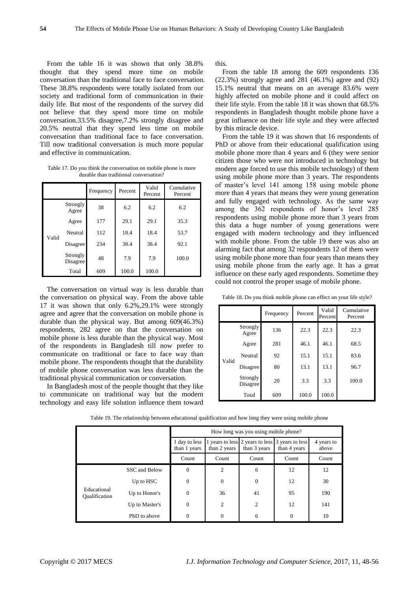From the table 16 it was shown that only 38.8% thought that they spend more time on mobile conversation than the traditional face to face conversation. These 38.8% respondents were totally isolated from our society and traditional form of communication in their daily life. But most of the respondents of the survey did not believe that they spend more time on mobile conversation.33.5% disagree,7.2% strongly disagree and 20.5% neutral that they spend less time on mobile conversation than traditional face to face conversation. Till now traditional conversation is much more popular and effective in communication.

Table 17. Do you think the conversation on mobile phone is more durable than traditional conversation?

|       |                      | Frequency | Percent | Valid<br>Percent | Cumulative<br>Percent |
|-------|----------------------|-----------|---------|------------------|-----------------------|
|       | Strongly<br>Agree    | 38        | 6.2     | 6.2              | 6.2                   |
|       | Agree                | 177       | 29.1    | 29.1             | 35.3                  |
| Valid | Neutral              | 112       | 18.4    | 18.4             | 53.7                  |
|       | Disagree             | 234       | 38.4    | 38.4             | 92.1                  |
|       | Strongly<br>Disagree | 48        | 7.9     | 7.9              | 100.0                 |
|       | Total                | 609       | 100.0   | 100.0            |                       |

The conversation on virtual way is less durable than the conversation on physical way. From the above table 17 it was shown that only 6.2%,29.1% were strongly agree and agree that the conversation on mobile phone is durable than the physical way. But among 609(46.3%) respondents, 282 agree on that the conversation on mobile phone is less durable than the physical way. Most of the respondents in Bangladesh till now prefer to communicate on traditional or face to face way than mobile phone. The respondents thought that the durability of mobile phone conversation was less durable than the traditional physical communication or conversation.

In Bangladesh most of the people thought that they like to communicate on traditional way but the modern technology and easy life solution influence them toward this.

From the table 18 among the 609 respondents 136 (22.3%) strongly agree and 281 (46.1%) agree and (92) 15.1% neutral that means on an average 83.6% were highly affected on mobile phone and it could affect on their life style. From the table 18 it was shown that 68.5% respondents in Bangladesh thought mobile phone have a great influence on their life style and they were affected by this miracle device.

From the table 19 it was shown that 16 respondents of PhD or above from their educational qualification using mobile phone more than 4 years and 6 (they were senior citizen those who were not introduced in technology but modern age forced to use this mobile technology) of them using mobile phone more than 3 years. The respondents of master's level 141 among 158 using mobile phone more than 4 years that means they were young generation and fully engaged with technology. As the same way among the 362 respondents of honor's level 285 respondents using mobile phone more than 3 years from this data a huge number of young generations were engaged with modern technology and they influenced with mobile phone. From the table 19 there was also an alarming fact that among 32 respondents 12 of them were using mobile phone more than four years than means they using mobile phone from the early age. It has a great influence on these early aged respondents. Sometime they could not control the proper usage of mobile phone.

Table 18. Do you think mobile phone can effect on your life style?

|       |                      | Frequency | Percent | Valid<br>Percent | Cumulative<br>Percent |
|-------|----------------------|-----------|---------|------------------|-----------------------|
|       | Strongly<br>Agree    | 136       | 22.3    | 22.3             | 22.3                  |
|       | Agree                | 281       | 46.1    | 46.1             | 68.5                  |
|       | Neutral              | 92        | 15.1    | 15.1             | 83.6                  |
| Valid | Disagree             | 80        | 13.1    | 13.1             | 96.7                  |
|       | Strongly<br>Disagree | 20        | 3.3     | 3.3              | 100.0                 |
|       | Total                | 609       | 100.0   | 100.0            |                       |

| Table 19. The relationship between educational qualification and how long they were using mobile phone |  |  |
|--------------------------------------------------------------------------------------------------------|--|--|
|--------------------------------------------------------------------------------------------------------|--|--|

|                                     |                | How long was you using mobile phone? |                |                  |                                                                 |                     |
|-------------------------------------|----------------|--------------------------------------|----------------|------------------|-----------------------------------------------------------------|---------------------|
|                                     |                | 1 day to less<br>than 1 years        | than 2 years   | than 3 years     | 1 years to less 2 years to less 3 years to less<br>than 4 years | 4 years to<br>above |
|                                     |                | Count                                | Count          | Count            | Count                                                           | Count               |
|                                     | SSC and Below  | $\overline{0}$                       | 2              | 6                | 12                                                              | 12                  |
|                                     | Up to HSC      | $\overline{0}$                       | $\overline{0}$ | $\boldsymbol{0}$ | 12                                                              | 30                  |
| Educational<br><b>Qualification</b> | Up to Honor's  | $\overline{0}$                       | 36             | 41               | 95                                                              | 190                 |
|                                     | Up to Master's | $\overline{0}$                       | 2              | $\overline{2}$   | 12                                                              | 141                 |
|                                     | PhD to above   | $\Omega$                             | $\theta$       | 6                | $\Omega$                                                        | 10                  |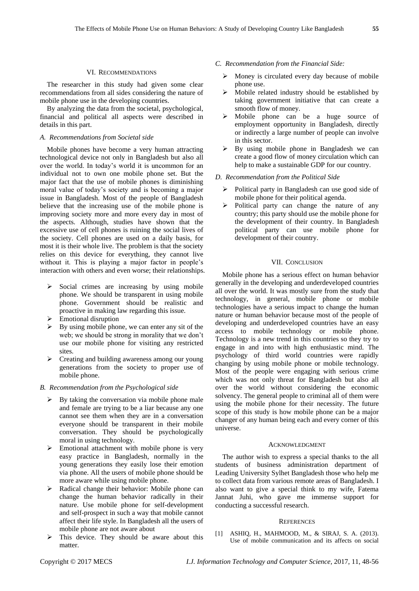#### VI. RECOMMENDATIONS

The researcher in this study had given some clear recommendations from all sides considering the nature of mobile phone use in the developing countries.

By analyzing the data from the societal, psychological, financial and political all aspects were described in details in this part.

## *A. Recommendations from Societal side*

Mobile phones have become a very human attracting technological device not only in Bangladesh but also all over the world. In today's world it is uncommon for an individual not to own one mobile phone set. But the major fact that the use of mobile phones is diminishing moral value of today's society and is becoming a major issue in Bangladesh. Most of the people of Bangladesh believe that the increasing use of the mobile phone is improving society more and more every day in most of the aspects. Although, studies have shown that the excessive use of cell phones is ruining the social lives of the society. Cell phones are used on a daily basis, for most it is their whole live. The problem is that the society relies on this device for everything, they cannot live without it. This is playing a major factor in people's interaction with others and even worse; their relationships.

- $\triangleright$  Social crimes are increasing by using mobile phone. We should be transparent in using mobile phone. Government should be realistic and proactive in making law regarding this issue.
- Emotional disruption
- By using mobile phone, we can enter any sit of the web; we should be strong in morality that we don't use our mobile phone for visiting any restricted sites.
- Exercise 2 Creating and building awareness among our young generations from the society to proper use of mobile phone.

#### *B. Recommendation from the Psychological side*

- By taking the conversation via mobile phone male and female are trying to be a liar because any one cannot see them when they are in a conversation everyone should be transparent in their mobile conversation. They should be psychologically moral in using technology.
- $\triangleright$  Emotional attachment with mobile phone is very easy practice in Bangladesh, normally in the young generations they easily lose their emotion via phone. All the users of mobile phone should be more aware while using mobile phone.
- Radical change their behavior: Mobile phone can change the human behavior radically in their nature. Use mobile phone for self-development and self-prospect in such a way that mobile cannot affect their life style. In Bangladesh all the users of mobile phone are not aware about
- $\triangleright$  This device. They should be aware about this matter.
- *C. Recommendation from the Financial Side:* 
	- $\triangleright$  Money is circulated every day because of mobile phone use.
	- Mobile related industry should be established by taking government initiative that can create a smooth flow of money.
	- Mobile phone can be a huge source of employment opportunity in Bangladesh, directly or indirectly a large number of people can involve in this sector.
	- $\triangleright$  By using mobile phone in Bangladesh we can create a good flow of money circulation which can help to make a sustainable GDP for our country.
- *D. Recommendation from the Political Side*
	- Political party in Bangladesh can use good side of mobile phone for their political agenda.
	- $\triangleright$  Political party can change the nature of any country; this party should use the mobile phone for the development of their country. In Bangladesh political party can use mobile phone for development of their country.

#### VII. CONCLUSION

Mobile phone has a serious effect on human behavior generally in the developing and underdeveloped countries all over the world. It was mostly sure from the study that technology, in general, mobile phone or mobile technologies have a serious impact to change the human nature or human behavior because most of the people of developing and underdeveloped countries have an easy access to mobile technology or mobile phone. Technology is a new trend in this countries so they try to engage in and into with high enthusiastic mind. The psychology of third world countries were rapidly changing by using mobile phone or mobile technology. Most of the people were engaging with serious crime which was not only threat for Bangladesh but also all over the world without considering the economic solvency. The general people to criminal all of them were using the mobile phone for their necessity. The future scope of this study is how mobile phone can be a major changer of any human being each and every corner of this universe.

#### ACKNOWLEDGMENT

The author wish to express a special thanks to the all students of business administration department of Leading University Sylhet Bangladesh those who help me to collect data from various remote areas of Bangladesh. I also want to give a special think to my wife, Fatema Jannat Juhi, who gave me immense support for conducting a successful research.

#### **REFERENCES**

[1] ASHIQ, H., MAHMOOD, M., & SIRAJ, S. A. (2013). Use of mobile communication and its affects on social